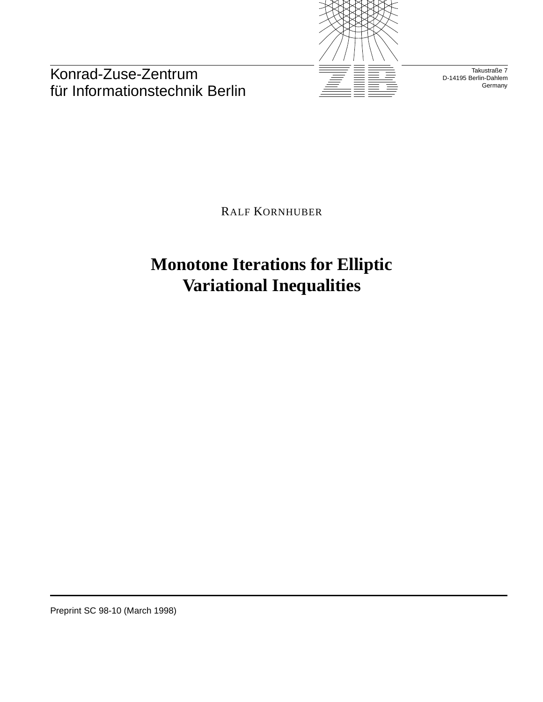

Konrad-Zuse-Zentrum für Informationstechnik Berlin

Takustraße 7 D-14195 Berlin-Dahlem **Germany** 

RALF KORNHUBER

**Monotone Iterations for Elliptic Variational Inequalities**

Preprint SC 98-10 (March 1998)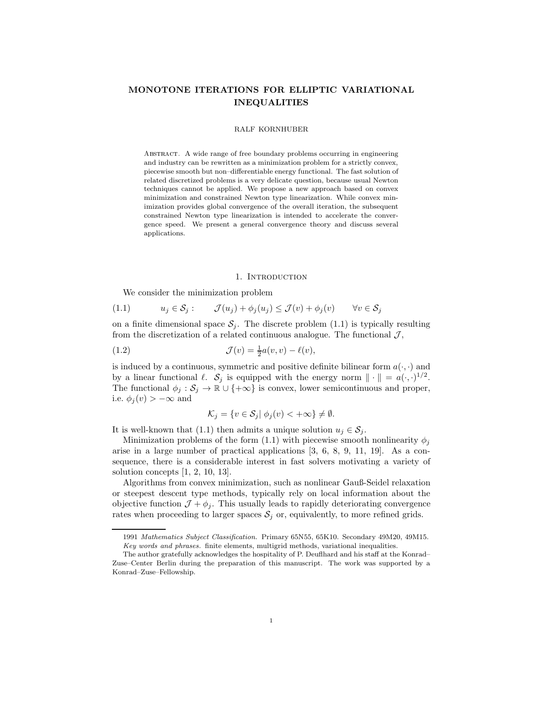# **MONOTONE ITERATIONS FOR ELLIPTIC VARIATIONAL INEQUALITIES**

#### RALF KORNHUBER

ABSTRACT. A wide range of free boundary problems occurring in engineering and industry can be rewritten as a minimization problem for a strictly convex, piecewise smooth but non–differentiable energy functional. The fast solution of related discretized problems is a very delicate question, because usual Newton techniques cannot be applied. We propose a new approach based on convex minimization and constrained Newton type linearization. While convex minimization provides global convergence of the overall iteration, the subsequent constrained Newton type linearization is intended to accelerate the convergence speed. We present a general convergence theory and discuss several applications.

### 1. INTRODUCTION

We consider the minimization problem

$$
(1.1) \t u_j \in \mathcal{S}_j: \t \mathcal{J}(u_j) + \phi_j(u_j) \leq \mathcal{J}(v) + \phi_j(v) \t \forall v \in \mathcal{S}_j
$$

on a finite dimensional space  $S_i$ . The discrete problem (1.1) is typically resulting from the discretization of a related continuous analogue. The functional  $\mathcal{J}$ ,

(1.2) 
$$
\mathcal{J}(v) = \frac{1}{2}a(v, v) - \ell(v),
$$

is induced by a continuous, symmetric and positive definite bilinear form  $a(\cdot, \cdot)$  and by a linear functional  $\ell$ .  $S_j$  is equipped with the energy norm  $\|\cdot\| = a(\cdot, \cdot)^{1/2}$ . The functional  $\phi_j : \mathcal{S}_j \to \mathbb{R} \cup \{+\infty\}$  is convex, lower semicontinuous and proper, i.e.  $\phi_j(v) > -\infty$  and

$$
\mathcal{K}_j = \{ v \in \mathcal{S}_j | \phi_j(v) < +\infty \} \neq \emptyset.
$$

It is well-known that (1.1) then admits a unique solution  $u_j \in \mathcal{S}_j$ .

Minimization problems of the form (1.1) with piecewise smooth nonlinearity  $\phi_i$ arise in a large number of practical applications [3, 6, 8, 9, 11, 19]. As a consequence, there is a considerable interest in fast solvers motivating a variety of solution concepts [1, 2, 10, 13].

Algorithms from convex minimization, such as nonlinear Gauß-Seidel relaxation or steepest descent type methods, typically rely on local information about the objective function  $\mathcal{J} + \phi_i$ . This usually leads to rapidly deteriorating convergence rates when proceeding to larger spaces  $S_j$  or, equivalently, to more refined grids.

<sup>1991</sup> *Mathematics Subject Classification.* Primary 65N55, 65K10. Secondary 49M20, 49M15. *Key words and phrases.* finite elements, multigrid methods, variational inequalities.

The author gratefully acknowledges the hospitality of P. Deuflhard and his staff at the Konrad– Zuse–Center Berlin during the preparation of this manuscript. The work was supported by a Konrad–Zuse–Fellowship.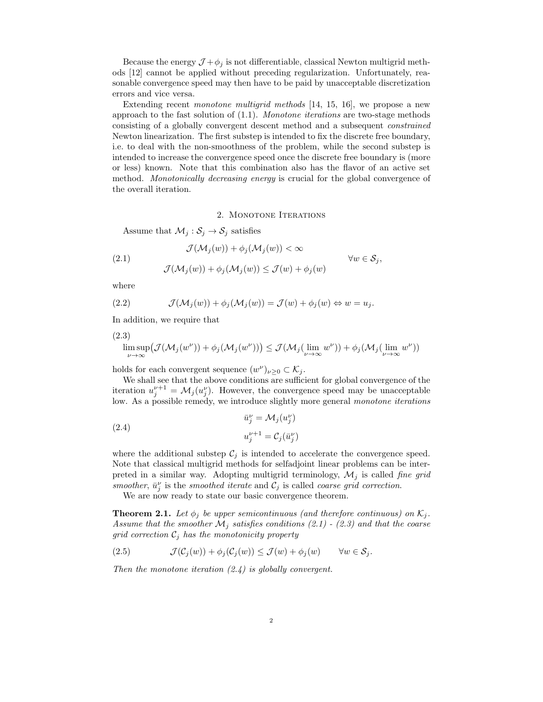Because the energy  $\mathcal{J} + \phi_i$  is not differentiable, classical Newton multigrid methods [12] cannot be applied without preceding regularization. Unfortunately, reasonable convergence speed may then have to be paid by unacceptable discretization errors and vice versa.

Extending recent *monotone multigrid methods* [14, 15, 16], we propose a new approach to the fast solution of (1.1). *Monotone iterations* are two-stage methods consisting of a globally convergent descent method and a subsequent *constrained* Newton linearization. The first substep is intended to fix the discrete free boundary, i.e. to deal with the non-smoothness of the problem, while the second substep is intended to increase the convergence speed once the discrete free boundary is (more or less) known. Note that this combination also has the flavor of an active set method. *Monotonically decreasing energy* is crucial for the global convergence of the overall iteration.

# 2. MONOTONE ITERATIONS

Assume that  $\mathcal{M}_j : \mathcal{S}_j \to \mathcal{S}_j$  satisfies

(2.1) 
$$
\mathcal{J}(\mathcal{M}_j(w)) + \phi_j(\mathcal{M}_j(w)) < \infty \qquad \forall w \in \mathcal{S}_j,
$$

$$
\mathcal{J}(\mathcal{M}_j(w)) + \phi_j(\mathcal{M}_j(w)) \leq \mathcal{J}(w) + \phi_j(w)
$$

where

(2.2) 
$$
\mathcal{J}(\mathcal{M}_j(w)) + \phi_j(\mathcal{M}_j(w)) = \mathcal{J}(w) + \phi_j(w) \Leftrightarrow w = u_j.
$$

In addition, we require that

$$
(2.3)
$$

$$
\limsup_{\nu \to \infty} \left( \mathcal{J}(\mathcal{M}_j(w^{\nu})) + \phi_j(\mathcal{M}_j(w^{\nu})) \right) \leq \mathcal{J}(\mathcal{M}_j(\lim_{\nu \to \infty} w^{\nu})) + \phi_j(\mathcal{M}_j(\lim_{\nu \to \infty} w^{\nu}))
$$

holds for each convergent sequence  $(w^{\nu})_{\nu\geq 0} \subset \mathcal{K}_j$ .

We shall see that the above conditions are sufficient for global convergence of the iteration  $u_j^{\nu+1} = \mathcal{M}_j(u_j^{\nu})$ . However, the convergence speed may be unacceptable low. As a possible remedy, we introduce slightly more general *monotone iterations*

(2.4) 
$$
\bar{u}_j^{\nu} = \mathcal{M}_j(u_j^{\nu})
$$

$$
u_j^{\nu+1} = \mathcal{C}_j(\bar{u}_j^{\nu})
$$

where the additional substep  $\mathcal{C}_i$  is intended to accelerate the convergence speed. Note that classical multigrid methods for selfadjoint linear problems can be interpreted in a similar way. Adopting multigrid terminology,  $\mathcal{M}_i$  is called *fine grid smoother*,  $\bar{u}_j^{\nu}$  is the *smoothed iterate* and  $\mathcal{C}_j$  is called *coarse grid correction*.

We are now ready to state our basic convergence theorem.

**Theorem 2.1.** Let  $\phi_i$  be upper semicontinuous (and therefore continuous) on  $\mathcal{K}_i$ . *Assume that the smoother*  $\mathcal{M}_j$  *satisfies conditions* (2.1) - (2.3) and that the coarse  $grid\ correction\ C_j$  *has the monotonicity property* 

(2.5) 
$$
\mathcal{J}(\mathcal{C}_j(w)) + \phi_j(\mathcal{C}_j(w)) \le \mathcal{J}(w) + \phi_j(w) \quad \forall w \in \mathcal{S}_j.
$$

*Then the monotone iteration (2.4) is globally convergent.*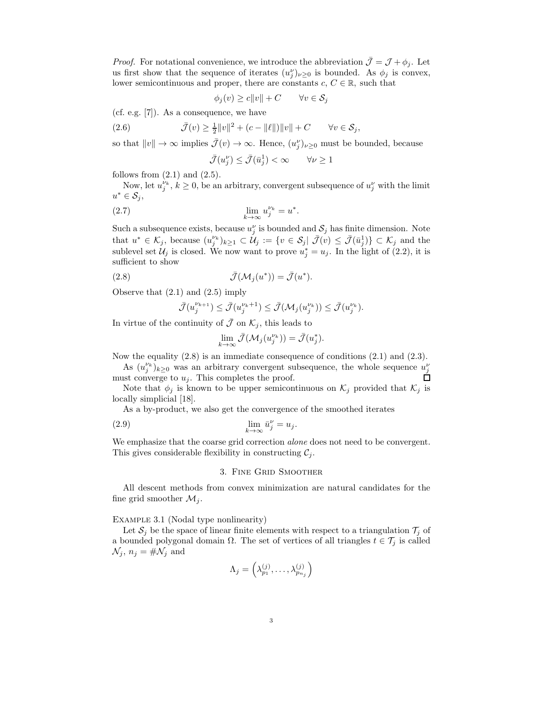*Proof.* For notational convenience, we introduce the abbreviation  $\mathcal{J} = \mathcal{J} + \phi_j$ . Let us first show that the sequence of iterates  $(u_j^{\nu})_{\nu \geq 0}$  is bounded. As  $\phi_j$  is convex, lower semicontinuous and proper, there are constants  $c, C \in \mathbb{R}$ , such that

$$
\phi_j(v) \ge c \|v\| + C \qquad \forall v \in \mathcal{S}_j
$$

(cf. e.g. [7]). As a consequence, we have

(2.6)  $\bar{\mathcal{J}}(v) \geq \frac{1}{2} ||v||^2 + (c - ||\ell||) ||v|| + C \quad \forall v \in \mathcal{S}_j,$ 

so that  $||v|| \to \infty$  implies  $\bar{J}(v) \to \infty$ . Hence,  $(u_j^{\nu})_{\nu \geq 0}$  must be bounded, because

$$
\bar{\mathcal{J}}(u_j^{\nu}) \le \bar{\mathcal{J}}(\bar{u}_j^1) < \infty \qquad \forall \nu \ge 1
$$

follows from  $(2.1)$  and  $(2.5)$ .

Now, let  $u_j^{\nu_k}$ ,  $k \geq 0$ , be an arbitrary, convergent subsequence of  $u_j^{\nu}$  with the limit  $u^* \in \mathcal{S}_i$ 

$$
\lim_{k \to \infty} u_j^{\nu_k} = u^*.
$$

Such a subsequence exists, because  $u_j^{\nu}$  is bounded and  $S_j$  has finite dimension. Note that  $u^* \in \mathcal{K}_j$ , because  $(u_j^{\nu_k})_{k \geq 1} \subset \mathcal{U}_j := \{v \in \mathcal{S}_j | \bar{\mathcal{J}}(v) \leq \bar{\mathcal{J}}(\bar{u}_j^1)\} \subset \mathcal{K}_j$  and the sublevel set  $\mathcal{U}_j$  is closed. We now want to prove  $u_j^* = u_j$ . In the light of (2.2), it is sufficient to show

(2.8) 
$$
\bar{\mathcal{J}}(\mathcal{M}_j(u^*)) = \bar{\mathcal{J}}(u^*).
$$

Observe that (2.1) and (2.5) imply

$$
\bar{\mathcal{J}}(u^{\nu_{k+1}}_{j}) \leq \bar{\mathcal{J}}(u^{\nu_{k}+1}_{j}) \leq \bar{\mathcal{J}}(\mathcal{M}_{j}(u^{\nu_{k}}_{j})) \leq \bar{\mathcal{J}}(u^{\nu_{k}}_{j}).
$$

In virtue of the continuity of  $\bar{\mathcal{J}}$  on  $\mathcal{K}_j$ , this leads to

$$
\lim_{k \to \infty} \bar{\mathcal{J}}(\mathcal{M}_j(u_j^{\nu_k})) = \bar{\mathcal{J}}(u_j^*).
$$

Now the equality (2.8) is an immediate consequence of conditions (2.1) and (2.3).

As  $(u_j^{\nu_k})_{k\geq 0}$  was an arbitrary convergent subsequence, the whole sequence  $u_j^{\nu}$ must converge to  $u_j$ . This completes the proof.

Note that  $\phi_j$  is known to be upper semicontinuous on  $\mathcal{K}_j$  provided that  $\mathcal{K}_j$  is locally simplicial [18].

As a by-product, we also get the convergence of the smoothed iterates

(2.9) 
$$
\lim_{k \to \infty} \bar{u}_j^{\nu} = u_j.
$$

We emphasize that the coarse grid correction *alone* does not need to be convergent. This gives considerable flexibility in constructing  $C_i$ .

# 3. Fine Grid Smoother

All descent methods from convex minimization are natural candidates for the fine grid smoother  $\mathcal{M}_j$ .

### EXAMPLE 3.1 (Nodal type nonlinearity)

Let  $S_i$  be the space of linear finite elements with respect to a triangulation  $\mathcal{T}_i$  of a bounded polygonal domain  $\Omega$ . The set of vertices of all triangles  $t \in \mathcal{T}_j$  is called  $\mathcal{N}_j$ ,  $n_j = \# \mathcal{N}_j$  and

$$
\Lambda_j = \left(\lambda_{p_1}^{(j)}, \ldots, \lambda_{p_{n_j}}^{(j)}\right)
$$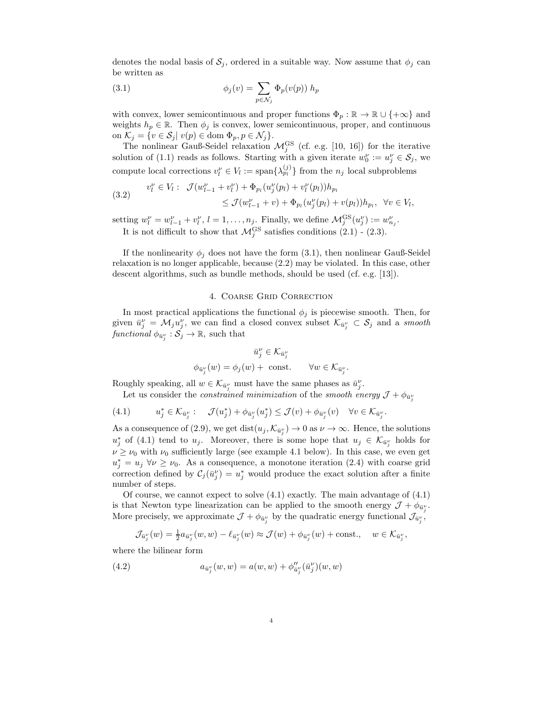denotes the nodal basis of  $S_j$ , ordered in a suitable way. Now assume that  $\phi_j$  can be written as

(3.1) 
$$
\phi_j(v) = \sum_{p \in \mathcal{N}_j} \Phi_p(v(p)) h_p
$$

with convex, lower semicontinuous and proper functions  $\Phi_p : \mathbb{R} \to \mathbb{R} \cup \{+\infty\}$  and weights  $h_p \in \mathbb{R}$ . Then  $\phi_j$  is convex, lower semicontinuous, proper, and continuous on  $\mathcal{K}_j = \{v \in \mathcal{S}_j | v(p) \in \text{dom } \Phi_p, p \in \mathcal{N}_j\}.$ 

The nonlinear Gauß-Seidel relaxation  $\mathcal{M}_j^{GS}$  (cf. e.g. [10, 16]) for the iterative solution of (1.1) reads as follows. Starting with a given iterate  $w_0^{\nu} := u_j^{\nu} \in \mathcal{S}_j$ , we compute local corrections  $v_l^{\nu} \in V_l := \text{span}\{\lambda_{p_l}^{(j)}\}$  from the  $n_j$  local subproblems

(3.2) 
$$
v_l^{\nu} \in V_l: \ \mathcal{J}(w_{l-1}^{\nu} + v_l^{\nu}) + \Phi_{p_l}(u_j^{\nu}(p_l) + v_l^{\nu}(p_l))h_{p_l} \leq \mathcal{J}(w_{l-1}^{\nu} + v) + \Phi_{p_l}(u_j^{\nu}(p_l) + v(p_l))h_{p_l}, \ \forall v \in V_l,
$$

setting  $w_l^{\nu} = w_{l-1}^{\nu} + v_l^{\nu}$ ,  $l = 1, \ldots, n_j$ . Finally, we define  $\mathcal{M}_j^{\text{GS}}(u_j^{\nu}) := w_{n_j}^{\nu}$ . It is not difficult to show that  $\mathcal{M}_j^{GS}$  satisfies conditions (2.1) - (2.3).

If the nonlinearity  $\phi_j$  does not have the form (3.1), then nonlinear Gauß-Seidel relaxation is no longer applicable, because (2.2) may be violated. In this case, other descent algorithms, such as bundle methods, should be used (cf. e.g. [13]).

# 4. Coarse Grid Correction

In most practical applications the functional  $\phi_i$  is piecewise smooth. Then, for given  $\bar{u}_j^{\nu} = \mathcal{M}_j u_j^{\nu}$ , we can find a closed convex subset  $\mathcal{K}_{\bar{u}_j^{\nu}} \subset \mathcal{S}_j$  and a *smooth functional*  $\phi_{\bar{u}_j} : \mathcal{S}_j \to \mathbb{R}$ , such that

$$
\bar{u}_j^{\nu} \in \mathcal{K}_{\bar{u}_j^{\nu}}
$$
  

$$
\phi_{\bar{u}_j^{\nu}}(w) = \phi_j(w) + \text{ const.} \qquad \forall w \in \mathcal{K}_{\bar{u}_j^{\nu}}.
$$

Roughly speaking, all  $w \in \mathcal{K}_{\bar{u}^{\nu}_j}$  must have the same phases as  $\bar{u}^{\nu}_j$ .

Let us consider the *constrained minimization* of the *smooth energy*  $\mathcal{J} + \phi_{\bar{u}^{\nu}_j}$ 

$$
(4.1) \t u_j^* \in \mathcal{K}_{\bar{u}_j^{\nu}}: \t \mathcal{J}(u_j^*) + \phi_{\bar{u}_j^{\nu}}(u_j^*) \leq \mathcal{J}(v) + \phi_{\bar{u}_j^{\nu}}(v) \quad \forall v \in \mathcal{K}_{\bar{u}_j^{\nu}}.
$$

As a consequence of (2.9), we get  $dist(u_j, \mathcal{K}_{\bar{u}_j^{\nu}}) \to 0$  as  $\nu \to \infty$ . Hence, the solutions  $u_j^*$  of (4.1) tend to  $u_j$ . Moreover, there is some hope that  $u_j \in \mathcal{K}_{\bar{u}_j}$  holds for  $\nu \geq \nu_0$  with  $\nu_0$  sufficiently large (see example 4.1 below). In this case, we even get  $u_j^* = u_j \,\forall \nu \geq \nu_0$ . As a consequence, a monotone iteration (2.4) with coarse grid correction defined by  $\mathcal{C}_j(\bar{u}_j^{\nu}) = u_j^*$  would produce the exact solution after a finite number of steps.

Of course, we cannot expect to solve (4.1) exactly. The main advantage of (4.1) is that Newton type linearization can be applied to the smooth energy  $\mathcal{J} + \phi_{\bar{u}^{\nu}_j}$ . More precisely, we approximate  $\mathcal{J} + \phi_{\bar{u}^{\nu}_j}$  by the quadratic energy functional  $\mathcal{J}_{\bar{u}^{\nu}_j}$ ,

$$
\mathcal{J}_{\bar{u}_j^\nu}(w) = \frac{1}{2} a_{\bar{u}_j^\nu}(w, w) - \ell_{\bar{u}_j^\nu}(w) \approx \mathcal{J}(w) + \phi_{\bar{u}_j^\nu}(w) + \text{const.}, \quad w \in \mathcal{K}_{\bar{u}_j^\nu},
$$

where the bilinear form

(4.2) 
$$
a_{\bar{u}_j^{\nu}}(w, w) = a(w, w) + \phi_{\bar{u}_j^{\nu}}^{\prime\prime}(\bar{u}_j^{\nu})(w, w)
$$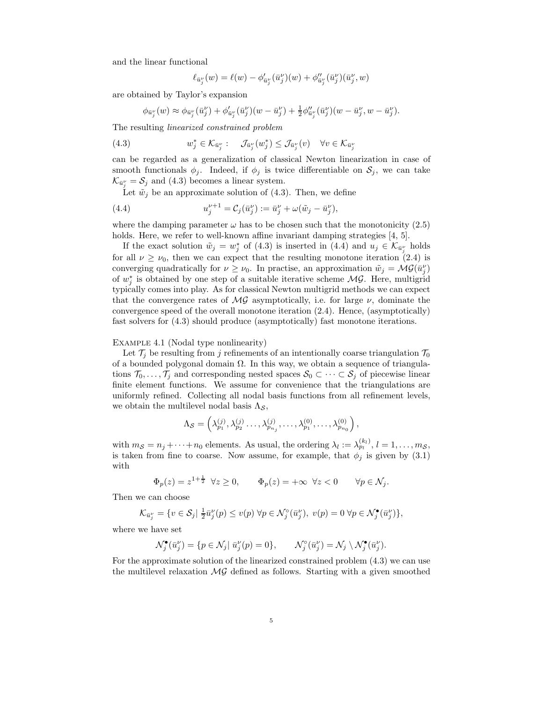and the linear functional

$$
\ell_{\bar{u}^{\nu}_{j}}(w) = \ell(w) - \phi'_{\bar{u}^{\nu}_{j}}(\bar{u}^{\nu}_{j})(w) + \phi''_{\bar{u}^{\nu}_{j}}(\bar{u}^{\nu}_{j})(\bar{u}^{\nu}_{j},w)
$$

are obtained by Taylor's expansion

$$
\phi_{\bar{u}_j^{\nu}}(w) \approx \phi_{\bar{u}_j^{\nu}}(\bar{u}_j^{\nu}) + \phi_{\bar{u}_j^{\nu}}'(\bar{u}_j^{\nu})(w - \bar{u}_j^{\nu}) + \frac{1}{2}\phi_{\bar{u}_j^{\nu}}''(\bar{u}_j^{\nu})(w - \bar{u}_j^{\nu}, w - \bar{u}_j^{\nu}).
$$

The resulting *linearized constrained problem*

(4.3) 
$$
w_j^* \in \mathcal{K}_{\bar{u}_j^{\nu}}: \quad \mathcal{J}_{\bar{u}_j^{\nu}}(w_j^*) \leq \mathcal{J}_{\bar{u}_j^{\nu}}(v) \quad \forall v \in \mathcal{K}_{\bar{u}_j^{\nu}}
$$

can be regarded as a generalization of classical Newton linearization in case of smooth functionals  $\phi_j$ . Indeed, if  $\phi_j$  is twice differentiable on  $\mathcal{S}_j$ , we can take  $\mathcal{K}_{\bar{u}^{\nu}_j} = \mathcal{S}_j$  and (4.3) becomes a linear system.

Let  $\tilde{w}_j$  be an approximate solution of (4.3). Then, we define

(4.4) 
$$
u_j^{\nu+1} = C_j(\bar{u}_j^{\nu}) := \bar{u}_j^{\nu} + \omega(\tilde{w}_j - \bar{u}_j^{\nu}),
$$

where the damping parameter  $\omega$  has to be chosen such that the monotonicity (2.5) holds. Here, we refer to well-known affine invariant damping strategies [4, 5].

If the exact solution  $\tilde{w}_j = w_j^*$  of (4.3) is inserted in (4.4) and  $u_j \in \mathcal{K}_{\bar{u}_j^{\nu}}$  holds for all  $\nu \geq \nu_0$ , then we can expect that the resulting monotone iteration (2.4) is converging quadratically for  $\nu \geq \nu_0$ . In practise, an approximation  $\tilde{w}_j = \mathcal{MG}(\bar{u}_j^{\nu})$ of  $w_j^*$  is obtained by one step of a suitable iterative scheme  $\mathcal{MG}$ . Here, multigrid typically comes into play. As for classical Newton multigrid methods we can expect that the convergence rates of  $\mathcal{MG}$  asymptotically, i.e. for large  $\nu$ , dominate the convergence speed of the overall monotone iteration (2.4). Hence, (asymptotically) fast solvers for (4.3) should produce (asymptotically) fast monotone iterations.

# EXAMPLE 4.1 (Nodal type nonlinearity)

Let  $\mathcal{T}_i$  be resulting from j refinements of an intentionally coarse triangulation  $\mathcal{T}_0$ of a bounded polygonal domain Ω. In this way, we obtain a sequence of triangulations  $\mathcal{T}_0,\ldots,\mathcal{T}_j$  and corresponding nested spaces  $\mathcal{S}_0 \subset \cdots \subset \mathcal{S}_j$  of piecewise linear finite element functions. We assume for convenience that the triangulations are uniformly refined. Collecting all nodal basis functions from all refinement levels, we obtain the multilevel nodal basis  $\Lambda_{\mathcal{S}}$ ,

$$
\Lambda_{\mathcal{S}} = \left(\lambda_{p_1}^{(j)}, \lambda_{p_2}^{(j)}, \ldots, \lambda_{p_{n_j}}^{(j)}, \ldots, \lambda_{p_1}^{(0)}, \ldots, \lambda_{p_{n_0}}^{(0)}\right),
$$

with  $m_{\mathcal{S}} = n_j + \cdots + n_0$  elements. As usual, the ordering  $\lambda_l := \lambda_{p_l}^{(k_l)}, l = 1, \ldots, m_{\mathcal{S}},$ is taken from fine to coarse. Now assume, for example, that  $\phi_j$  is given by (3.1) with

$$
\Phi_p(z) = z^{1 + \frac{1}{2}} \quad \forall z \ge 0, \qquad \Phi_p(z) = +\infty \quad \forall z < 0 \qquad \forall p \in \mathcal{N}_j.
$$

Then we can choose

$$
\mathcal{K}_{\bar{u}_j^{\nu}} = \{ v \in \mathcal{S}_j | \frac{1}{2} \bar{u}_j^{\nu}(p) \le v(p) \ \forall p \in \mathcal{N}_j^{\circ}(\bar{u}_j^{\nu}), \ v(p) = 0 \ \forall p \in \mathcal{N}_j^{\bullet}(\bar{u}_j^{\nu}) \},
$$

where we have set

$$
\mathcal{N}_j^{\bullet}(\bar{u}_j^{\nu}) = \{ p \in \mathcal{N}_j | \bar{u}_j^{\nu}(p) = 0 \}, \qquad \mathcal{N}_j^{\circ}(\bar{u}_j^{\nu}) = \mathcal{N}_j \setminus \mathcal{N}_j^{\bullet}(\bar{u}_j^{\nu}).
$$

For the approximate solution of the linearized constrained problem (4.3) we can use the multilevel relaxation  $\mathcal{MG}$  defined as follows. Starting with a given smoothed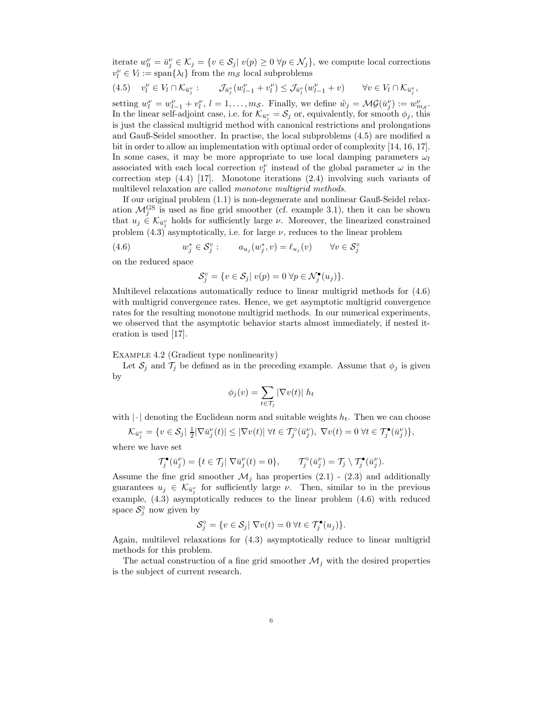iterate  $w_0^{\nu} = \bar{u}_j^{\nu} \in \mathcal{K}_j = \{v \in \mathcal{S}_j | v(p) \ge 0 \,\forall p \in \mathcal{N}_j\}$ , we compute local corrections  $v_l^{\nu} \in V_l := \text{span}\{\lambda_l\}$  from the  $m_S$  local subproblems

$$
(4.5) \quad v_l^{\nu} \in V_l \cap \mathcal{K}_{\bar{u}_j^{\nu}}: \qquad \mathcal{J}_{\bar{u}_j^{\nu}}(w_{l-1}^{\nu} + v_l^{\nu}) \leq \mathcal{J}_{\bar{u}_j^{\nu}}(w_{l-1}^{\nu} + v) \qquad \forall v \in V_l \cap \mathcal{K}_{\bar{u}_j^{\nu}},
$$

setting  $w_l^{\nu} = w_{l-1}^{\nu} + v_l^{\nu}$ ,  $l = 1, \ldots, m_S$ . Finally, we define  $\tilde{w}_j = \mathcal{MG}(\bar{u}_j^{\nu}) := w_{m_S}^{\nu}$ . In the linear self-adjoint case, i.e. for  $\mathcal{K}_{\bar{u}^{\nu}_j} = \mathcal{S}_j$  or, equivalently, for smooth  $\phi_j$ , this is just the classical multigrid method with canonical restrictions and prolongations and Gauß-Seidel smoother. In practise, the local subproblems (4.5) are modified a bit in order to allow an implementation with optimal order of complexity [14, 16, 17]. In some cases, it may be more appropriate to use local damping parameters  $\omega_l$ associated with each local correction  $v_l^{\nu}$  instead of the global parameter  $\omega$  in the correction step  $(4.4)$  [17]. Monotone iterations  $(2.4)$  involving such variants of multilevel relaxation are called *monotone multigrid methods*.

If our original problem (1.1) is non-degenerate and nonlinear Gauß-Seidel relaxation  $\mathcal{M}_j^{GS}$  is used as fine grid smoother (cf. example 3.1), then it can be shown that  $u_j \in \mathcal{K}_{\bar{u}_j^{\nu}}$  holds for sufficiently large  $\nu$ . Moreover, the linearized constrained problem  $(4.3)$  asymptotically, i.e. for large  $\nu$ , reduces to the linear problem

(4.6) 
$$
w_j^* \in \mathcal{S}_j^\circ: \qquad a_{u_j}(w_j^*, v) = \ell_{u_j}(v) \qquad \forall v \in \mathcal{S}_j^\circ
$$

on the reduced space

$$
\mathcal{S}_j^{\circ} = \{ v \in \mathcal{S}_j | \ v(p) = 0 \ \forall p \in \mathcal{N}_j^{\bullet}(u_j) \}.
$$

Multilevel relaxations automatically reduce to linear multigrid methods for (4.6) with multigrid convergence rates. Hence, we get asymptotic multigrid convergence rates for the resulting monotone multigrid methods. In our numerical experiments, we observed that the asymptotic behavior starts almost immediately, if nested iteration is used [17].

### Example 4.2 (Gradient type nonlinearity)

Let  $S_j$  and  $\mathcal{T}_j$  be defined as in the preceding example. Assume that  $\phi_j$  is given by

$$
\phi_j(v) = \sum_{t \in \mathcal{T}_j} |\nabla v(t)| h_t
$$

with  $|\cdot|$  denoting the Euclidean norm and suitable weights  $h_t$ . Then we can choose

$$
\mathcal{K}_{\bar{u}_j^\nu}=\{v\in \mathcal{S}_j|\ \tfrac{1}{2}|\nabla \bar{u}_j^\nu(t)|\leq |\nabla v(t)|\ \forall t\in \mathcal{T}_j^\circ(\bar{u}_j^\nu),\ \nabla v(t)=0\ \forall t\in \mathcal{T}_j^\bullet(\bar{u}_j^\nu)\},
$$

where we have set

$$
\mathcal{T}_j^{\bullet}(\bar{u}_j^{\nu}) = \{ t \in \mathcal{T}_j | \nabla \bar{u}_j^{\nu}(t) = 0 \}, \qquad \mathcal{T}_j^{\circ}(\bar{u}_j^{\nu}) = \mathcal{T}_j \setminus \mathcal{T}_j^{\bullet}(\bar{u}_j^{\nu}).
$$

Assume the fine grid smoother  $\mathcal{M}_i$  has properties (2.1) - (2.3) and additionally guarantees  $u_j \in \mathcal{K}_{\bar{u}_j^{\nu}}$  for sufficiently large  $\nu$ . Then, similar to in the previous example, (4.3) asymptotically reduces to the linear problem (4.6) with reduced space  $S_j^{\circ}$  now given by

$$
\mathcal{S}_j^{\circ} = \{ v \in \mathcal{S}_j | \nabla v(t) = 0 \,\forall t \in \mathcal{T}_j^{\bullet}(u_j) \}.
$$

Again, multilevel relaxations for (4.3) asymptotically reduce to linear multigrid methods for this problem.

The actual construction of a fine grid smoother  $\mathcal{M}_i$  with the desired properties is the subject of current research.